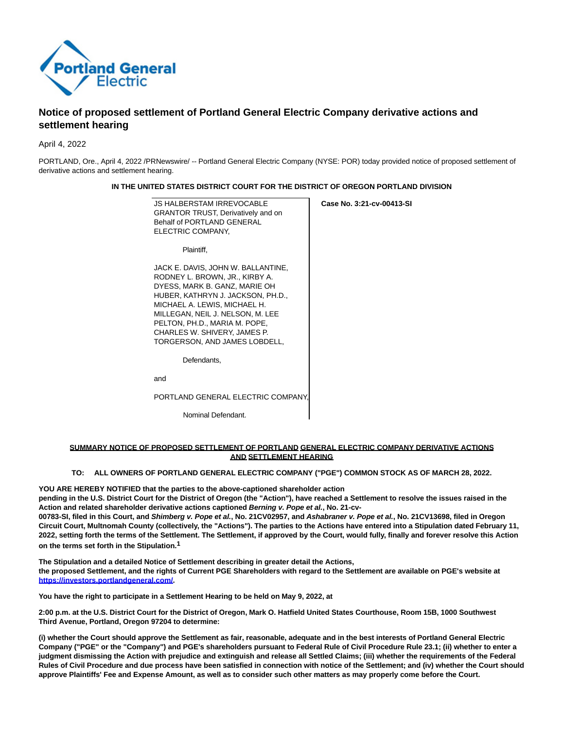

# **Notice of proposed settlement of Portland General Electric Company derivative actions and settlement hearing**

April 4, 2022

PORTLAND, Ore., April 4, 2022 /PRNewswire/ -- Portland General Electric Company (NYSE: POR) today provided notice of proposed settlement of derivative actions and settlement hearing.

## **IN THE UNITED STATES DISTRICT COURT FOR THE DISTRICT OF OREGON PORTLAND DIVISION**

**Case No. 3:21-cv-00413-SI**

JS HALBERSTAM IRREVOCABLE GRANTOR TRUST, Derivatively and on Behalf of PORTLAND GENERAL ELECTRIC COMPANY,

Plaintiff,

JACK E. DAVIS, JOHN W. BALLANTINE, RODNEY L. BROWN, JR., KIRBY A. DYESS, MARK B. GANZ, MARIE OH HUBER, KATHRYN J. JACKSON, PH.D., MICHAEL A. LEWIS, MICHAEL H. MILLEGAN, NEIL J. NELSON, M. LEE PELTON, PH.D., MARIA M. POPE, CHARLES W. SHIVERY, JAMES P. TORGERSON, AND JAMES LOBDELL,

Defendants,

and

PORTLAND GENERAL ELECTRIC COMPANY,

Nominal Defendant.

### **SUMMARY NOTICE OF PROPOSED SETTLEMENT OF PORTLAND GENERAL ELECTRIC COMPANY DERIVATIVE ACTIONS AND SETTLEMENT HEARING**

### **TO: ALL OWNERS OF PORTLAND GENERAL ELECTRIC COMPANY ("PGE") COMMON STOCK AS OF MARCH 28, 2022.**

**YOU ARE HEREBY NOTIFIED that the parties to the above-captioned shareholder action**

**pending in the U.S. District Court for the District of Oregon (the "Action"), have reached a Settlement to resolve the issues raised in the Action and related shareholder derivative actions captioned Berning v. Pope et al., No. 21-cv-**

**00783-SI, filed in this Court, and Shimberg v. Pope et al., No. 21CV02957, and Ashabraner v. Pope et al., No. 21CV13698, filed in Oregon Circuit Court, Multnomah County (collectively, the "Actions"). The parties to the Actions have entered into a Stipulation dated February 11, 2022, setting forth the terms of the Settlement. The Settlement, if approved by the Court, would fully, finally and forever resolve this Action on the terms set forth in the Stipulation.1**

**The Stipulation and a detailed Notice of Settlement describing in greater detail the Actions, the proposed Settlement, and the rights of Current PGE Shareholders with regard to the Settlement are available on PGE's website at [https://investors.portlandgeneral.com/.](https://investors.portlandgeneral.com/)**

**You have the right to participate in a Settlement Hearing to be held on May 9, 2022, at**

**2:00 p.m. at the U.S. District Court for the District of Oregon, Mark O. Hatfield United States Courthouse, Room 15B, 1000 Southwest Third Avenue, Portland, Oregon 97204 to determine:**

**(i) whether the Court should approve the Settlement as fair, reasonable, adequate and in the best interests of Portland General Electric Company ("PGE" or the "Company") and PGE's shareholders pursuant to Federal Rule of Civil Procedure Rule 23.1; (ii) whether to enter a judgment dismissing the Action with prejudice and extinguish and release all Settled Claims; (iii) whether the requirements of the Federal Rules of Civil Procedure and due process have been satisfied in connection with notice of the Settlement; and (iv) whether the Court should approve Plaintiffs' Fee and Expense Amount, as well as to consider such other matters as may properly come before the Court.**